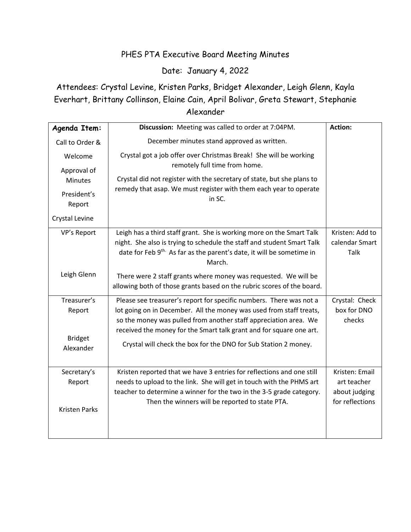## PHES PTA Executive Board Meeting Minutes

## Date: January 4, 2022

## Attendees: Crystal Levine, Kristen Parks, Bridget Alexander, Leigh Glenn, Kayla Everhart, Brittany Collinson, Elaine Cain, April Bolivar, Greta Stewart, Stephanie Alexander

| Agenda Item:                  | Discussion: Meeting was called to order at 7:04PM.                                                                                                                                                                                                                                    | Action:                                          |
|-------------------------------|---------------------------------------------------------------------------------------------------------------------------------------------------------------------------------------------------------------------------------------------------------------------------------------|--------------------------------------------------|
| Call to Order &               | December minutes stand approved as written.                                                                                                                                                                                                                                           |                                                  |
| Welcome                       | Crystal got a job offer over Christmas Break! She will be working<br>remotely full time from home.                                                                                                                                                                                    |                                                  |
| Approval of<br><b>Minutes</b> | Crystal did not register with the secretary of state, but she plans to                                                                                                                                                                                                                |                                                  |
| President's<br>Report         | remedy that asap. We must register with them each year to operate<br>in SC.                                                                                                                                                                                                           |                                                  |
| Crystal Levine                |                                                                                                                                                                                                                                                                                       |                                                  |
| VP's Report                   | Leigh has a third staff grant. She is working more on the Smart Talk<br>night. She also is trying to schedule the staff and student Smart Talk<br>date for Feb 9 <sup>th.</sup> As far as the parent's date, it will be sometime in<br>March.                                         | Kristen: Add to<br>calendar Smart<br><b>Talk</b> |
| Leigh Glenn                   | There were 2 staff grants where money was requested. We will be<br>allowing both of those grants based on the rubric scores of the board.                                                                                                                                             |                                                  |
| Treasurer's<br>Report         | Please see treasurer's report for specific numbers. There was not a<br>lot going on in December. All the money was used from staff treats,<br>so the money was pulled from another staff appreciation area. We<br>received the money for the Smart talk grant and for square one art. | Crystal: Check<br>box for DNO<br>checks          |
| <b>Bridget</b><br>Alexander   | Crystal will check the box for the DNO for Sub Station 2 money.                                                                                                                                                                                                                       |                                                  |
| Secretary's                   | Kristen reported that we have 3 entries for reflections and one still                                                                                                                                                                                                                 | Kristen: Email                                   |
| Report                        | needs to upload to the link. She will get in touch with the PHMS art<br>teacher to determine a winner for the two in the 3-5 grade category.                                                                                                                                          | art teacher<br>about judging                     |
| <b>Kristen Parks</b>          | Then the winners will be reported to state PTA.                                                                                                                                                                                                                                       | for reflections                                  |
|                               |                                                                                                                                                                                                                                                                                       |                                                  |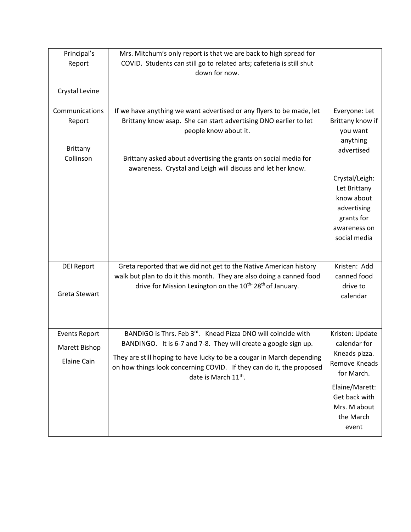| Principal's          | Mrs. Mitchum's only report is that we are back to high spread for                 |                              |
|----------------------|-----------------------------------------------------------------------------------|------------------------------|
| Report               | COVID. Students can still go to related arts; cafeteria is still shut             |                              |
|                      | down for now.                                                                     |                              |
|                      |                                                                                   |                              |
| Crystal Levine       |                                                                                   |                              |
| Communications       |                                                                                   |                              |
|                      | If we have anything we want advertised or any flyers to be made, let              | Everyone: Let                |
| Report               | Brittany know asap. She can start advertising DNO earlier to let                  | Brittany know if<br>you want |
|                      | people know about it.                                                             | anything                     |
| <b>Brittany</b>      |                                                                                   | advertised                   |
| Collinson            | Brittany asked about advertising the grants on social media for                   |                              |
|                      | awareness. Crystal and Leigh will discuss and let her know.                       |                              |
|                      |                                                                                   | Crystal/Leigh:               |
|                      |                                                                                   | Let Brittany                 |
|                      |                                                                                   | know about                   |
|                      |                                                                                   | advertising                  |
|                      |                                                                                   | grants for                   |
|                      |                                                                                   | awareness on                 |
|                      |                                                                                   | social media                 |
|                      |                                                                                   |                              |
|                      |                                                                                   |                              |
| <b>DEI Report</b>    | Greta reported that we did not get to the Native American history                 | Kristen: Add                 |
|                      | walk but plan to do it this month. They are also doing a canned food              | canned food                  |
|                      | drive for Mission Lexington on the 10 <sup>th-</sup> 28 <sup>th</sup> of January. | drive to                     |
| Greta Stewart        |                                                                                   | calendar                     |
|                      |                                                                                   |                              |
|                      |                                                                                   |                              |
| <b>Events Report</b> | BANDIGO is Thrs. Feb 3 <sup>rd</sup> . Knead Pizza DNO will coincide with         | Kristen: Update              |
|                      | BANDINGO. It is 6-7 and 7-8. They will create a google sign up.                   | calendar for                 |
| Marett Bishop        |                                                                                   | Kneads pizza.                |
| Elaine Cain          | They are still hoping to have lucky to be a cougar in March depending             | Remove Kneads                |
|                      | on how things look concerning COVID. If they can do it, the proposed              | for March.                   |
|                      | date is March 11 <sup>th</sup> .                                                  |                              |
|                      |                                                                                   | Elaine/Marett:               |
|                      |                                                                                   | Get back with                |
|                      |                                                                                   | Mrs. M about                 |
|                      |                                                                                   | the March                    |
|                      |                                                                                   | event                        |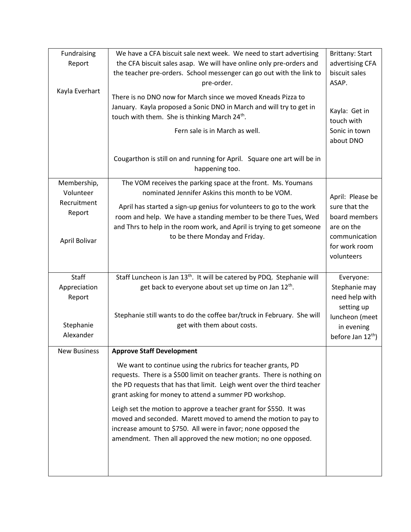| Fundraising         | We have a CFA biscuit sale next week. We need to start advertising                 | <b>Brittany: Start</b>            |
|---------------------|------------------------------------------------------------------------------------|-----------------------------------|
| Report              | the CFA biscuit sales asap. We will have online only pre-orders and                | advertising CFA                   |
|                     | the teacher pre-orders. School messenger can go out with the link to               | biscuit sales                     |
|                     | pre-order.                                                                         | ASAP.                             |
| Kayla Everhart      | There is no DNO now for March since we moved Kneads Pizza to                       |                                   |
|                     | January. Kayla proposed a Sonic DNO in March and will try to get in                |                                   |
|                     | touch with them. She is thinking March 24 <sup>th</sup> .                          | Kayla: Get in<br>touch with       |
|                     | Fern sale is in March as well.                                                     | Sonic in town                     |
|                     |                                                                                    | about DNO                         |
|                     |                                                                                    |                                   |
|                     | Cougarthon is still on and running for April. Square one art will be in            |                                   |
|                     | happening too.                                                                     |                                   |
| Membership,         | The VOM receives the parking space at the front. Ms. Youmans                       |                                   |
| Volunteer           | nominated Jennifer Askins this month to be VOM.                                    |                                   |
| Recruitment         | April has started a sign-up genius for volunteers to go to the work                | April: Please be<br>sure that the |
| Report              | room and help. We have a standing member to be there Tues, Wed                     | board members                     |
|                     | and Thrs to help in the room work, and April is trying to get someone              | are on the                        |
|                     | to be there Monday and Friday.                                                     | communication                     |
| April Bolivar       |                                                                                    | for work room                     |
|                     |                                                                                    | volunteers                        |
|                     |                                                                                    |                                   |
|                     |                                                                                    |                                   |
| Staff               | Staff Luncheon is Jan 13 <sup>th</sup> . It will be catered by PDQ. Stephanie will | Everyone:                         |
| Appreciation        | get back to everyone about set up time on Jan 12 <sup>th</sup> .                   | Stephanie may                     |
| Report              |                                                                                    | need help with                    |
|                     |                                                                                    | setting up                        |
|                     | Stephanie still wants to do the coffee bar/truck in February. She will             | luncheon (meet                    |
| Stephanie           | get with them about costs.                                                         | in evening                        |
| Alexander           |                                                                                    | before Jan 12 <sup>th</sup> )     |
| <b>New Business</b> | <b>Approve Staff Development</b>                                                   |                                   |
|                     | We want to continue using the rubrics for teacher grants, PD                       |                                   |
|                     | requests. There is a \$500 limit on teacher grants. There is nothing on            |                                   |
|                     | the PD requests that has that limit. Leigh went over the third teacher             |                                   |
|                     | grant asking for money to attend a summer PD workshop.                             |                                   |
|                     | Leigh set the motion to approve a teacher grant for \$550. It was                  |                                   |
|                     | moved and seconded. Marett moved to amend the motion to pay to                     |                                   |
|                     | increase amount to \$750. All were in favor; none opposed the                      |                                   |
|                     | amendment. Then all approved the new motion; no one opposed.                       |                                   |
|                     |                                                                                    |                                   |
|                     |                                                                                    |                                   |